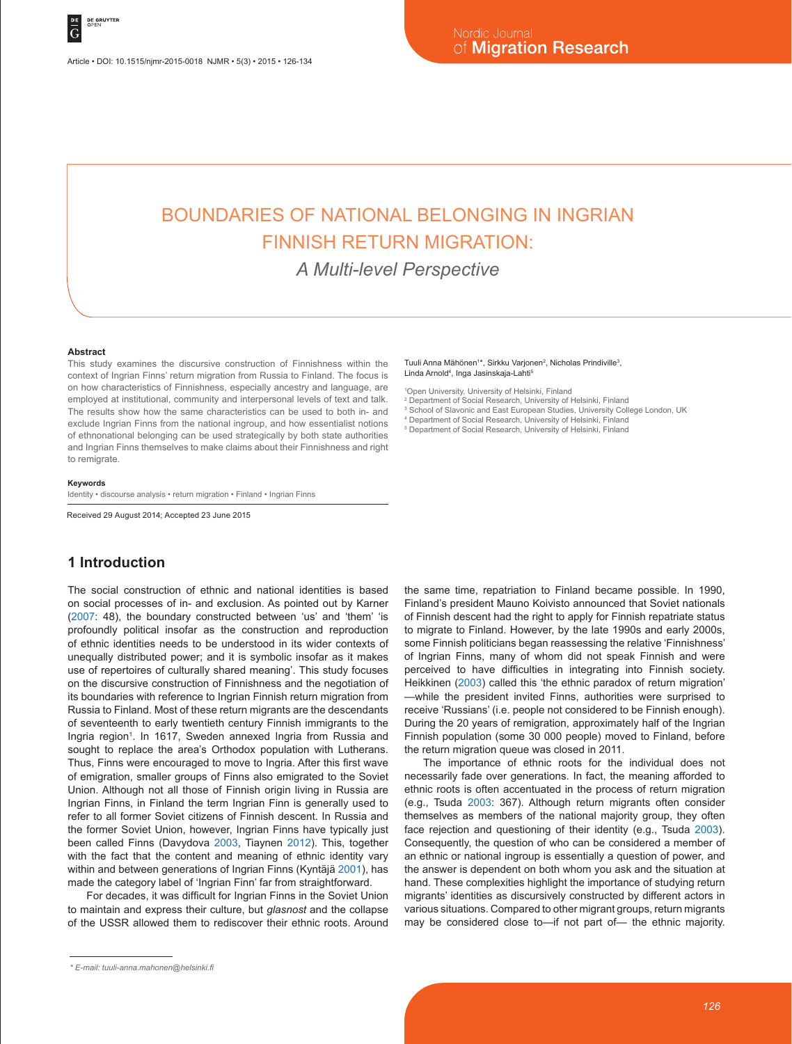Article • DOI: 10.1515/njmr-2015-0018 NJMR • 5(3) • 2015 • 126-134

# BOUNDARIES OF NATIONAL BELONGING IN INGRIAN FINNISH RETURN MIGRATION:

*A Multi-level Perspective*

#### **Abstract**

This study examines the discursive construction of Finnishness within the context of Ingrian Finns' return migration from Russia to Finland. The focus is on how characteristics of Finnishness, especially ancestry and language, are employed at institutional, community and interpersonal levels of text and talk. The results show how the same characteristics can be used to both in- and exclude Ingrian Finns from the national ingroup, and how essentialist notions of ethnonational belonging can be used strategically by both state authorities and Ingrian Finns themselves to make claims about their Finnishness and right to remigrate.

#### **Keywords**

Identity • discourse analysis • return migration • Finland • Ingrian Finns

Received 29 August 2014; Accepted 23 June 2015

### **1 Introduction**

The social construction of ethnic and national identities is based on social processes of in- and exclusion. As pointed out by Karner (2007: 48), the boundary constructed between 'us' and 'them' 'is profoundly political insofar as the construction and reproduction of ethnic identities needs to be understood in its wider contexts of unequally distributed power; and it is symbolic insofar as it makes use of repertoires of culturally shared meaning'. This study focuses on the discursive construction of Finnishness and the negotiation of its boundaries with reference to Ingrian Finnish return migration from Russia to Finland. Most of these return migrants are the descendants of seventeenth to early twentieth century Finnish immigrants to the Ingria region<sup>1</sup>. In 1617, Sweden annexed Ingria from Russia and sought to replace the area's Orthodox population with Lutherans. Thus, Finns were encouraged to move to Ingria. After this first wave of emigration, smaller groups of Finns also emigrated to the Soviet Union. Although not all those of Finnish origin living in Russia are Ingrian Finns, in Finland the term Ingrian Finn is generally used to refer to all former Soviet citizens of Finnish descent. In Russia and the former Soviet Union, however, Ingrian Finns have typically just been called Finns (Davydova 2003, Tiaynen 2012). This, together with the fact that the content and meaning of ethnic identity vary within and between generations of Ingrian Finns (Kyntäjä 2001), has made the category label of 'Ingrian Finn' far from straightforward.

For decades, it was difficult for Ingrian Finns in the Soviet Union to maintain and express their culture, but *glasnost* and the collapse of the USSR allowed them to rediscover their ethnic roots. Around

#### Tuuli Anna Mähönen<sup>1\*</sup>, Sirkku Varjonen<sup>2</sup>, Nicholas Prindiville<sup>3</sup>, Linda Arnold<sup>4</sup>, Inga Jasinskaja-Lahti<sup>s</sup>

1 Open University, University of Helsinki, Finland

- 2 Department of Social Research, University of Helsinki, Finland
- 3 School of Slavonic and East European Studies, University College London, UK
- 4 Department of Social Research, University of Helsinki, Finland 5 Department of Social Research, University of Helsinki, Finland

the same time, repatriation to Finland became possible. In 1990, Finland's president Mauno Koivisto announced that Soviet nationals of Finnish descent had the right to apply for Finnish repatriate status to migrate to Finland. However, by the late 1990s and early 2000s, some Finnish politicians began reassessing the relative 'Finnishness' of Ingrian Finns, many of whom did not speak Finnish and were perceived to have difficulties in integrating into Finnish society. Heikkinen (2003) called this 'the ethnic paradox of return migration' —while the president invited Finns, authorities were surprised to receive 'Russians' (i.e. people not considered to be Finnish enough). During the 20 years of remigration, approximately half of the Ingrian Finnish population (some 30 000 people) moved to Finland, before the return migration queue was closed in 2011.

The importance of ethnic roots for the individual does not necessarily fade over generations. In fact, the meaning afforded to ethnic roots is often accentuated in the process of return migration (e.g., Tsuda 2003: 367). Although return migrants often consider themselves as members of the national majority group, they often face rejection and questioning of their identity (e.g., Tsuda 2003). Consequently, the question of who can be considered a member of an ethnic or national ingroup is essentially a question of power, and the answer is dependent on both whom you ask and the situation at hand. These complexities highlight the importance of studying return migrants' identities as discursively constructed by different actors in various situations. Compared to other migrant groups, return migrants may be considered close to—if not part of— the ethnic majority.

*<sup>\*</sup> E-mail: tuuli-anna.mahonen@helsinki.fi*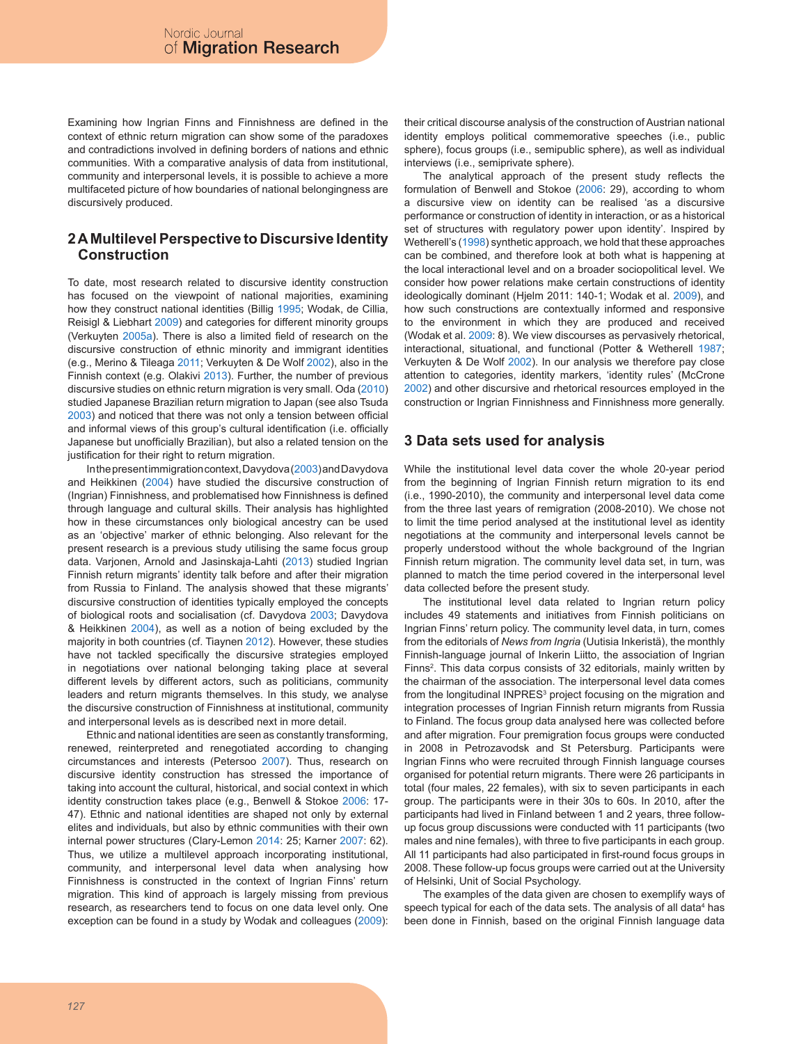Examining how Ingrian Finns and Finnishness are defined in the context of ethnic return migration can show some of the paradoxes and contradictions involved in defining borders of nations and ethnic communities. With a comparative analysis of data from institutional, community and interpersonal levels, it is possible to achieve a more multifaceted picture of how boundaries of national belongingness are discursively produced.

#### **2 A Multilevel Perspective to Discursive Identity Construction**

To date, most research related to discursive identity construction has focused on the viewpoint of national majorities, examining how they construct national identities (Billig 1995; Wodak, de Cillia, Reisigl & Liebhart 2009) and categories for different minority groups (Verkuyten 2005a). There is also a limited field of research on the discursive construction of ethnic minority and immigrant identities (e.g., Merino & Tileaga 2011; Verkuyten & De Wolf 2002), also in the Finnish context (e.g. Olakivi 2013). Further, the number of previous discursive studies on ethnic return migration is very small. Oda (2010) studied Japanese Brazilian return migration to Japan (see also Tsuda 2003) and noticed that there was not only a tension between official and informal views of this group's cultural identification (i.e. officially Japanese but unofficially Brazilian), but also a related tension on the justification for their right to return migration.

In the present immigration context, Davydova (2003) and Davydova and Heikkinen (2004) have studied the discursive construction of (Ingrian) Finnishness, and problematised how Finnishness is defined through language and cultural skills. Their analysis has highlighted how in these circumstances only biological ancestry can be used as an 'objective' marker of ethnic belonging. Also relevant for the present research is a previous study utilising the same focus group data. Varjonen, Arnold and Jasinskaja-Lahti (2013) studied Ingrian Finnish return migrants' identity talk before and after their migration from Russia to Finland. The analysis showed that these migrants' discursive construction of identities typically employed the concepts of biological roots and socialisation (cf. Davydova 2003; Davydova & Heikkinen 2004), as well as a notion of being excluded by the majority in both countries (cf. Tiaynen 2012). However, these studies have not tackled specifically the discursive strategies employed in negotiations over national belonging taking place at several different levels by different actors, such as politicians, community leaders and return migrants themselves. In this study, we analyse the discursive construction of Finnishness at institutional, community and interpersonal levels as is described next in more detail.

Ethnic and national identities are seen as constantly transforming, renewed, reinterpreted and renegotiated according to changing circumstances and interests (Petersoo 2007). Thus, research on discursive identity construction has stressed the importance of taking into account the cultural, historical, and social context in which identity construction takes place (e.g., Benwell & Stokoe 2006: 17- 47). Ethnic and national identities are shaped not only by external elites and individuals, but also by ethnic communities with their own internal power structures (Clary-Lemon 2014: 25; Karner 2007: 62). Thus, we utilize a multilevel approach incorporating institutional, community, and interpersonal level data when analysing how Finnishness is constructed in the context of Ingrian Finns' return migration. This kind of approach is largely missing from previous research, as researchers tend to focus on one data level only. One exception can be found in a study by Wodak and colleagues (2009): their critical discourse analysis of the construction of Austrian national identity employs political commemorative speeches (i.e., public sphere), focus groups (i.e., semipublic sphere), as well as individual interviews (i.e., semiprivate sphere).

The analytical approach of the present study reflects the formulation of Benwell and Stokoe (2006: 29), according to whom a discursive view on identity can be realised 'as a discursive performance or construction of identity in interaction, or as a historical set of structures with regulatory power upon identity'. Inspired by Wetherell's (1998) synthetic approach, we hold that these approaches can be combined, and therefore look at both what is happening at the local interactional level and on a broader sociopolitical level. We consider how power relations make certain constructions of identity ideologically dominant (Hjelm 2011: 140-1; Wodak et al. 2009), and how such constructions are contextually informed and responsive to the environment in which they are produced and received (Wodak et al. 2009: 8). We view discourses as pervasively rhetorical, interactional, situational, and functional (Potter & Wetherell 1987; Verkuyten & De Wolf 2002). In our analysis we therefore pay close attention to categories, identity markers, 'identity rules' (McCrone 2002) and other discursive and rhetorical resources employed in the construction or Ingrian Finnishness and Finnishness more generally.

#### **3 Data sets used for analysis**

While the institutional level data cover the whole 20-year period from the beginning of Ingrian Finnish return migration to its end (i.e., 1990-2010), the community and interpersonal level data come from the three last years of remigration (2008-2010). We chose not to limit the time period analysed at the institutional level as identity negotiations at the community and interpersonal levels cannot be properly understood without the whole background of the Ingrian Finnish return migration. The community level data set, in turn, was planned to match the time period covered in the interpersonal level data collected before the present study.

The institutional level data related to Ingrian return policy includes 49 statements and initiatives from Finnish politicians on Ingrian Finns' return policy. The community level data, in turn, comes from the editorials of *News from Ingria* (Uutisia Inkeristä), the monthly Finnish-language journal of Inkerin Liitto, the association of Ingrian Finns<sup>2</sup>. This data corpus consists of 32 editorials, mainly written by the chairman of the association. The interpersonal level data comes from the longitudinal INPRES<sup>3</sup> project focusing on the migration and integration processes of Ingrian Finnish return migrants from Russia to Finland. The focus group data analysed here was collected before and after migration. Four premigration focus groups were conducted in 2008 in Petrozavodsk and St Petersburg. Participants were Ingrian Finns who were recruited through Finnish language courses organised for potential return migrants. There were 26 participants in total (four males, 22 females), with six to seven participants in each group. The participants were in their 30s to 60s. In 2010, after the participants had lived in Finland between 1 and 2 years, three followup focus group discussions were conducted with 11 participants (two males and nine females), with three to five participants in each group. All 11 participants had also participated in first-round focus groups in 2008. These follow-up focus groups were carried out at the University of Helsinki, Unit of Social Psychology.

The examples of the data given are chosen to exemplify ways of speech typical for each of the data sets. The analysis of all data<sup>4</sup> has been done in Finnish, based on the original Finnish language data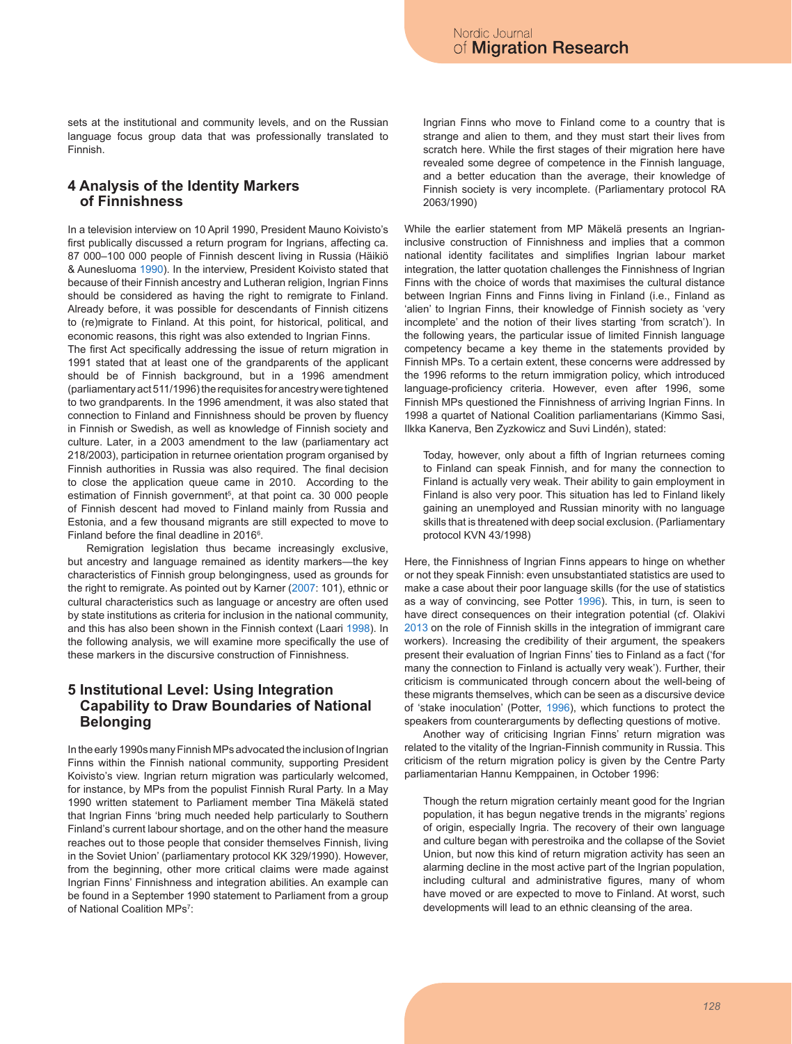sets at the institutional and community levels, and on the Russian language focus group data that was professionally translated to Finnish.

### **4 Analysis of the Identity Markers of Finnishness**

In a television interview on 10 April 1990, President Mauno Koivisto's first publically discussed a return program for Ingrians, affecting ca. 87 000–100 000 people of Finnish descent living in Russia (Häikiö & Aunesluoma 1990). In the interview, President Koivisto stated that because of their Finnish ancestry and Lutheran religion, Ingrian Finns should be considered as having the right to remigrate to Finland. Already before, it was possible for descendants of Finnish citizens to (re)migrate to Finland. At this point, for historical, political, and economic reasons, this right was also extended to Ingrian Finns.

The first Act specifically addressing the issue of return migration in 1991 stated that at least one of the grandparents of the applicant should be of Finnish background, but in a 1996 amendment (parliamentary act 511/1996) the requisites for ancestry were tightened to two grandparents. In the 1996 amendment, it was also stated that connection to Finland and Finnishness should be proven by fluency in Finnish or Swedish, as well as knowledge of Finnish society and culture. Later, in a 2003 amendment to the law (parliamentary act 218/2003), participation in returnee orientation program organised by Finnish authorities in Russia was also required. The final decision to close the application queue came in 2010. According to the estimation of Finnish government<sup>5</sup>, at that point ca. 30 000 people of Finnish descent had moved to Finland mainly from Russia and Estonia, and a few thousand migrants are still expected to move to Finland before the final deadline in  $2016^{\circ}$ .

Remigration legislation thus became increasingly exclusive, but ancestry and language remained as identity markers—the key characteristics of Finnish group belongingness, used as grounds for the right to remigrate. As pointed out by Karner (2007: 101), ethnic or cultural characteristics such as language or ancestry are often used by state institutions as criteria for inclusion in the national community, and this has also been shown in the Finnish context (Laari 1998). In the following analysis, we will examine more specifically the use of these markers in the discursive construction of Finnishness.

#### **5 Institutional Level: Using Integration Capability to Draw Boundaries of National Belonging**

In the early 1990s many Finnish MPs advocated the inclusion of Ingrian Finns within the Finnish national community, supporting President Koivisto's view. Ingrian return migration was particularly welcomed, for instance, by MPs from the populist Finnish Rural Party. In a May 1990 written statement to Parliament member Tina Mäkelä stated that Ingrian Finns 'bring much needed help particularly to Southern Finland's current labour shortage, and on the other hand the measure reaches out to those people that consider themselves Finnish, living in the Soviet Union' (parliamentary protocol KK 329/1990). However, from the beginning, other more critical claims were made against Ingrian Finns' Finnishness and integration abilities. An example can be found in a September 1990 statement to Parliament from a group of National Coalition MPs7 :

Ingrian Finns who move to Finland come to a country that is strange and alien to them, and they must start their lives from scratch here. While the first stages of their migration here have revealed some degree of competence in the Finnish language, and a better education than the average, their knowledge of Finnish society is very incomplete. (Parliamentary protocol RA 2063/1990)

While the earlier statement from MP Mäkelä presents an Ingrianinclusive construction of Finnishness and implies that a common national identity facilitates and simplifies Ingrian labour market integration, the latter quotation challenges the Finnishness of Ingrian Finns with the choice of words that maximises the cultural distance between Ingrian Finns and Finns living in Finland (i.e., Finland as 'alien' to Ingrian Finns, their knowledge of Finnish society as 'very incomplete' and the notion of their lives starting 'from scratch'). In the following years, the particular issue of limited Finnish language competency became a key theme in the statements provided by Finnish MPs. To a certain extent, these concerns were addressed by the 1996 reforms to the return immigration policy, which introduced language-proficiency criteria. However, even after 1996, some Finnish MPs questioned the Finnishness of arriving Ingrian Finns. In 1998 a quartet of National Coalition parliamentarians (Kimmo Sasi, Ilkka Kanerva, Ben Zyzkowicz and Suvi Lindén), stated:

Today, however, only about a fifth of Ingrian returnees coming to Finland can speak Finnish, and for many the connection to Finland is actually very weak. Their ability to gain employment in Finland is also very poor. This situation has led to Finland likely gaining an unemployed and Russian minority with no language skills that is threatened with deep social exclusion. (Parliamentary protocol KVN 43/1998)

Here, the Finnishness of Ingrian Finns appears to hinge on whether or not they speak Finnish: even unsubstantiated statistics are used to make a case about their poor language skills (for the use of statistics as a way of convincing, see Potter 1996). This, in turn, is seen to have direct consequences on their integration potential (cf. Olakivi 2013 on the role of Finnish skills in the integration of immigrant care workers). Increasing the credibility of their argument, the speakers present their evaluation of Ingrian Finns' ties to Finland as a fact ('for many the connection to Finland is actually very weak'). Further, their criticism is communicated through concern about the well-being of these migrants themselves, which can be seen as a discursive device of 'stake inoculation' (Potter, 1996), which functions to protect the speakers from counterarguments by deflecting questions of motive.

Another way of criticising Ingrian Finns' return migration was related to the vitality of the Ingrian-Finnish community in Russia. This criticism of the return migration policy is given by the Centre Party parliamentarian Hannu Kemppainen, in October 1996:

Though the return migration certainly meant good for the Ingrian population, it has begun negative trends in the migrants' regions of origin, especially Ingria. The recovery of their own language and culture began with perestroika and the collapse of the Soviet Union, but now this kind of return migration activity has seen an alarming decline in the most active part of the Ingrian population, including cultural and administrative figures, many of whom have moved or are expected to move to Finland. At worst, such developments will lead to an ethnic cleansing of the area.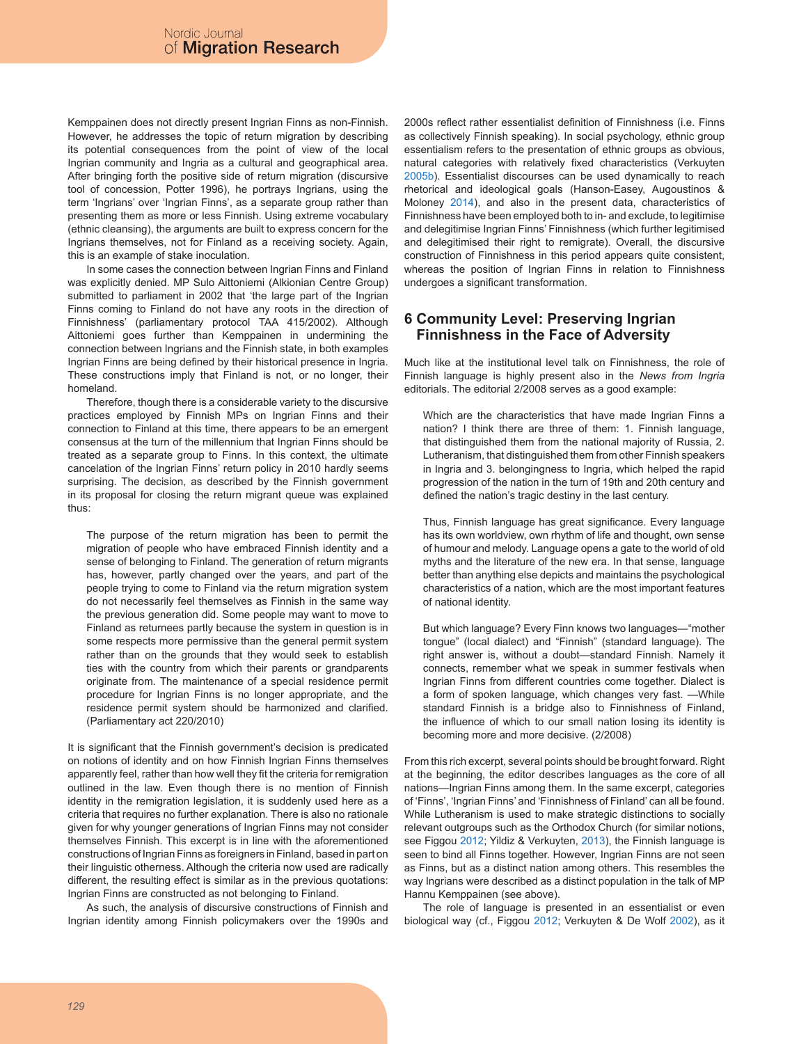Kemppainen does not directly present Ingrian Finns as non-Finnish. However, he addresses the topic of return migration by describing its potential consequences from the point of view of the local Ingrian community and Ingria as a cultural and geographical area. After bringing forth the positive side of return migration (discursive tool of concession, Potter 1996), he portrays Ingrians, using the term 'Ingrians' over 'Ingrian Finns', as a separate group rather than presenting them as more or less Finnish. Using extreme vocabulary (ethnic cleansing), the arguments are built to express concern for the Ingrians themselves, not for Finland as a receiving society. Again, this is an example of stake inoculation.

In some cases the connection between Ingrian Finns and Finland was explicitly denied. MP Sulo Aittoniemi (Alkionian Centre Group) submitted to parliament in 2002 that 'the large part of the Ingrian Finns coming to Finland do not have any roots in the direction of Finnishness' (parliamentary protocol TAA 415/2002). Although Aittoniemi goes further than Kemppainen in undermining the connection between Ingrians and the Finnish state, in both examples Ingrian Finns are being defined by their historical presence in Ingria. These constructions imply that Finland is not, or no longer, their homeland.

Therefore, though there is a considerable variety to the discursive practices employed by Finnish MPs on Ingrian Finns and their connection to Finland at this time, there appears to be an emergent consensus at the turn of the millennium that Ingrian Finns should be treated as a separate group to Finns. In this context, the ultimate cancelation of the Ingrian Finns' return policy in 2010 hardly seems surprising. The decision, as described by the Finnish government in its proposal for closing the return migrant queue was explained thus:

The purpose of the return migration has been to permit the migration of people who have embraced Finnish identity and a sense of belonging to Finland. The generation of return migrants has, however, partly changed over the years, and part of the people trying to come to Finland via the return migration system do not necessarily feel themselves as Finnish in the same way the previous generation did. Some people may want to move to Finland as returnees partly because the system in question is in some respects more permissive than the general permit system rather than on the grounds that they would seek to establish ties with the country from which their parents or grandparents originate from. The maintenance of a special residence permit procedure for Ingrian Finns is no longer appropriate, and the residence permit system should be harmonized and clarified. (Parliamentary act 220/2010)

It is significant that the Finnish government's decision is predicated on notions of identity and on how Finnish Ingrian Finns themselves apparently feel, rather than how well they fit the criteria for remigration outlined in the law. Even though there is no mention of Finnish identity in the remigration legislation, it is suddenly used here as a criteria that requires no further explanation. There is also no rationale given for why younger generations of Ingrian Finns may not consider themselves Finnish. This excerpt is in line with the aforementioned constructions of Ingrian Finns as foreigners in Finland, based in part on their linguistic otherness. Although the criteria now used are radically different, the resulting effect is similar as in the previous quotations: Ingrian Finns are constructed as not belonging to Finland.

As such, the analysis of discursive constructions of Finnish and Ingrian identity among Finnish policymakers over the 1990s and 2000s reflect rather essentialist definition of Finnishness (i.e. Finns as collectively Finnish speaking). In social psychology, ethnic group essentialism refers to the presentation of ethnic groups as obvious, natural categories with relatively fixed characteristics (Verkuyten 2005b). Essentialist discourses can be used dynamically to reach rhetorical and ideological goals (Hanson-Easey, Augoustinos & Moloney 2014), and also in the present data, characteristics of Finnishness have been employed both to in- and exclude, to legitimise and delegitimise Ingrian Finns' Finnishness (which further legitimised and delegitimised their right to remigrate). Overall, the discursive construction of Finnishness in this period appears quite consistent, whereas the position of Ingrian Finns in relation to Finnishness undergoes a significant transformation.

#### **6 Community Level: Preserving Ingrian Finnishness in the Face of Adversity**

Much like at the institutional level talk on Finnishness, the role of Finnish language is highly present also in the *News from Ingria* editorials. The editorial 2/2008 serves as a good example:

Which are the characteristics that have made Ingrian Finns a nation? I think there are three of them: 1. Finnish language, that distinguished them from the national majority of Russia, 2. Lutheranism, that distinguished them from other Finnish speakers in Ingria and 3. belongingness to Ingria, which helped the rapid progression of the nation in the turn of 19th and 20th century and defined the nation's tragic destiny in the last century.

Thus, Finnish language has great significance. Every language has its own worldview, own rhythm of life and thought, own sense of humour and melody. Language opens a gate to the world of old myths and the literature of the new era. In that sense, language better than anything else depicts and maintains the psychological characteristics of a nation, which are the most important features of national identity.

But which language? Every Finn knows two languages—"mother tongue" (local dialect) and "Finnish" (standard language). The right answer is, without a doubt—standard Finnish. Namely it connects, remember what we speak in summer festivals when Ingrian Finns from different countries come together. Dialect is a form of spoken language, which changes very fast. —While standard Finnish is a bridge also to Finnishness of Finland, the influence of which to our small nation losing its identity is becoming more and more decisive. (2/2008)

From this rich excerpt, several points should be brought forward. Right at the beginning, the editor describes languages as the core of all nations—Ingrian Finns among them. In the same excerpt, categories of 'Finns', 'Ingrian Finns' and 'Finnishness of Finland' can all be found. While Lutheranism is used to make strategic distinctions to socially relevant outgroups such as the Orthodox Church (for similar notions, see Figgou 2012; Yildiz & Verkuyten, 2013), the Finnish language is seen to bind all Finns together. However, Ingrian Finns are not seen as Finns, but as a distinct nation among others. This resembles the way Ingrians were described as a distinct population in the talk of MP Hannu Kemppainen (see above).

The role of language is presented in an essentialist or even biological way (cf., Figgou 2012; Verkuyten & De Wolf 2002), as it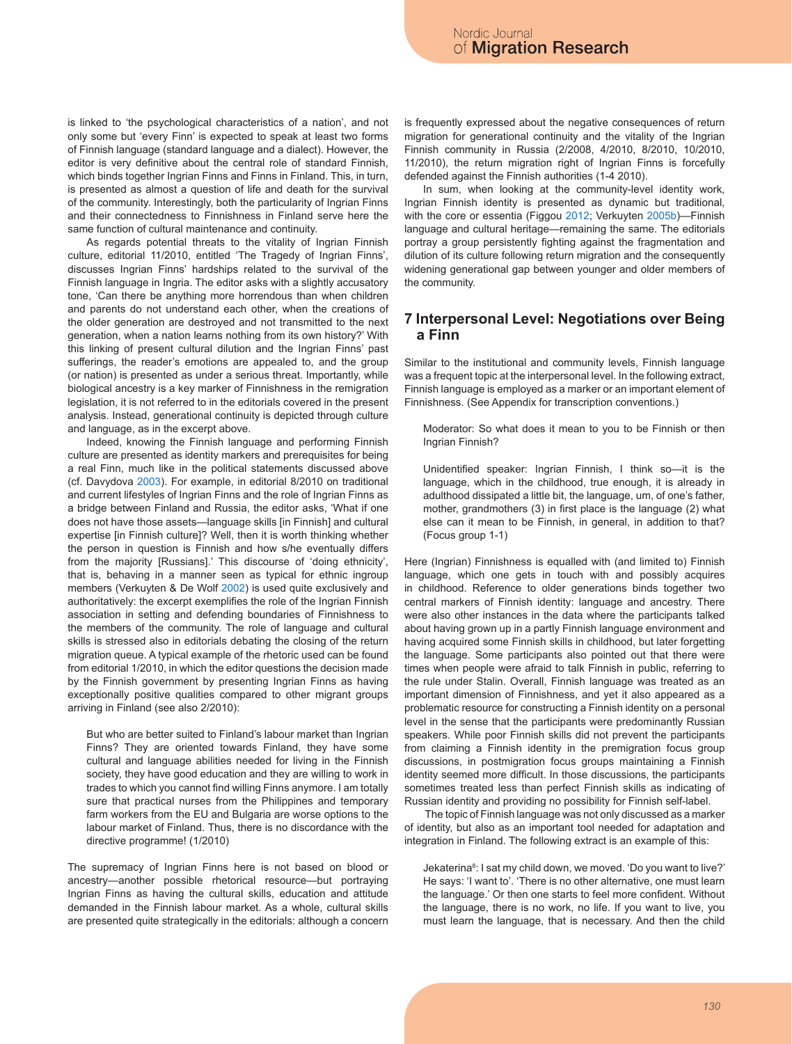is linked to 'the psychological characteristics of a nation', and not only some but 'every Finn' is expected to speak at least two forms of Finnish language (standard language and a dialect). However, the editor is very definitive about the central role of standard Finnish, which binds together Ingrian Finns and Finns in Finland. This, in turn, is presented as almost a question of life and death for the survival of the community. Interestingly, both the particularity of Ingrian Finns and their connectedness to Finnishness in Finland serve here the same function of cultural maintenance and continuity.

As regards potential threats to the vitality of Ingrian Finnish culture, editorial 11/2010, entitled 'The Tragedy of Ingrian Finns', discusses Ingrian Finns' hardships related to the survival of the Finnish language in Ingria. The editor asks with a slightly accusatory tone, 'Can there be anything more horrendous than when children and parents do not understand each other, when the creations of the older generation are destroyed and not transmitted to the next generation, when a nation learns nothing from its own history?' With this linking of present cultural dilution and the Ingrian Finns' past sufferings, the reader's emotions are appealed to, and the group (or nation) is presented as under a serious threat. Importantly, while biological ancestry is a key marker of Finnishness in the remigration legislation, it is not referred to in the editorials covered in the present analysis. Instead, generational continuity is depicted through culture and language, as in the excerpt above.

Indeed, knowing the Finnish language and performing Finnish culture are presented as identity markers and prerequisites for being a real Finn, much like in the political statements discussed above (cf. Davydova 2003). For example, in editorial 8/2010 on traditional and current lifestyles of Ingrian Finns and the role of Ingrian Finns as a bridge between Finland and Russia, the editor asks, 'What if one does not have those assets—language skills [in Finnish] and cultural expertise [in Finnish culture]? Well, then it is worth thinking whether the person in question is Finnish and how s/he eventually differs from the majority [Russians].' This discourse of 'doing ethnicity', that is, behaving in a manner seen as typical for ethnic ingroup members (Verkuyten & De Wolf 2002) is used quite exclusively and authoritatively: the excerpt exemplifies the role of the Ingrian Finnish association in setting and defending boundaries of Finnishness to the members of the community. The role of language and cultural skills is stressed also in editorials debating the closing of the return migration queue. A typical example of the rhetoric used can be found from editorial 1/2010, in which the editor questions the decision made by the Finnish government by presenting Ingrian Finns as having exceptionally positive qualities compared to other migrant groups arriving in Finland (see also 2/2010):

But who are better suited to Finland's labour market than Ingrian Finns? They are oriented towards Finland, they have some cultural and language abilities needed for living in the Finnish society, they have good education and they are willing to work in trades to which you cannot find willing Finns anymore. I am totally sure that practical nurses from the Philippines and temporary farm workers from the EU and Bulgaria are worse options to the labour market of Finland. Thus, there is no discordance with the directive programme! (1/2010)

The supremacy of Ingrian Finns here is not based on blood or ancestry—another possible rhetorical resource—but portraying Ingrian Finns as having the cultural skills, education and attitude demanded in the Finnish labour market. As a whole, cultural skills are presented quite strategically in the editorials: although a concern is frequently expressed about the negative consequences of return migration for generational continuity and the vitality of the Ingrian Finnish community in Russia (2/2008, 4/2010, 8/2010, 10/2010, 11/2010), the return migration right of Ingrian Finns is forcefully defended against the Finnish authorities (1-4 2010).

In sum, when looking at the community-level identity work, Ingrian Finnish identity is presented as dynamic but traditional, with the core or essentia (Figgou 2012; Verkuyten 2005b)—Finnish language and cultural heritage—remaining the same. The editorials portray a group persistently fighting against the fragmentation and dilution of its culture following return migration and the consequently widening generational gap between younger and older members of the community.

#### **7 Interpersonal Level: Negotiations over Being a Finn**

Similar to the institutional and community levels, Finnish language was a frequent topic at the interpersonal level. In the following extract, Finnish language is employed as a marker or an important element of Finnishness. (See Appendix for transcription conventions.)

Moderator: So what does it mean to you to be Finnish or then Ingrian Finnish?

Unidentified speaker: Ingrian Finnish, I think so—it is the language, which in the childhood, true enough, it is already in adulthood dissipated a little bit, the language, um, of one's father, mother, grandmothers (3) in first place is the language (2) what else can it mean to be Finnish, in general, in addition to that? (Focus group 1-1)

Here (Ingrian) Finnishness is equalled with (and limited to) Finnish language, which one gets in touch with and possibly acquires in childhood. Reference to older generations binds together two central markers of Finnish identity: language and ancestry. There were also other instances in the data where the participants talked about having grown up in a partly Finnish language environment and having acquired some Finnish skills in childhood, but later forgetting the language. Some participants also pointed out that there were times when people were afraid to talk Finnish in public, referring to the rule under Stalin. Overall, Finnish language was treated as an important dimension of Finnishness, and yet it also appeared as a problematic resource for constructing a Finnish identity on a personal level in the sense that the participants were predominantly Russian speakers. While poor Finnish skills did not prevent the participants from claiming a Finnish identity in the premigration focus group discussions, in postmigration focus groups maintaining a Finnish identity seemed more difficult. In those discussions, the participants sometimes treated less than perfect Finnish skills as indicating of Russian identity and providing no possibility for Finnish self-label.

 The topic of Finnish language was not only discussed as a marker of identity, but also as an important tool needed for adaptation and integration in Finland. The following extract is an example of this:

Jekaterina<sup>8</sup>: I sat my child down, we moved. 'Do you want to live?' He says: 'I want to'. 'There is no other alternative, one must learn the language.' Or then one starts to feel more confident. Without the language, there is no work, no life. If you want to live, you must learn the language, that is necessary. And then the child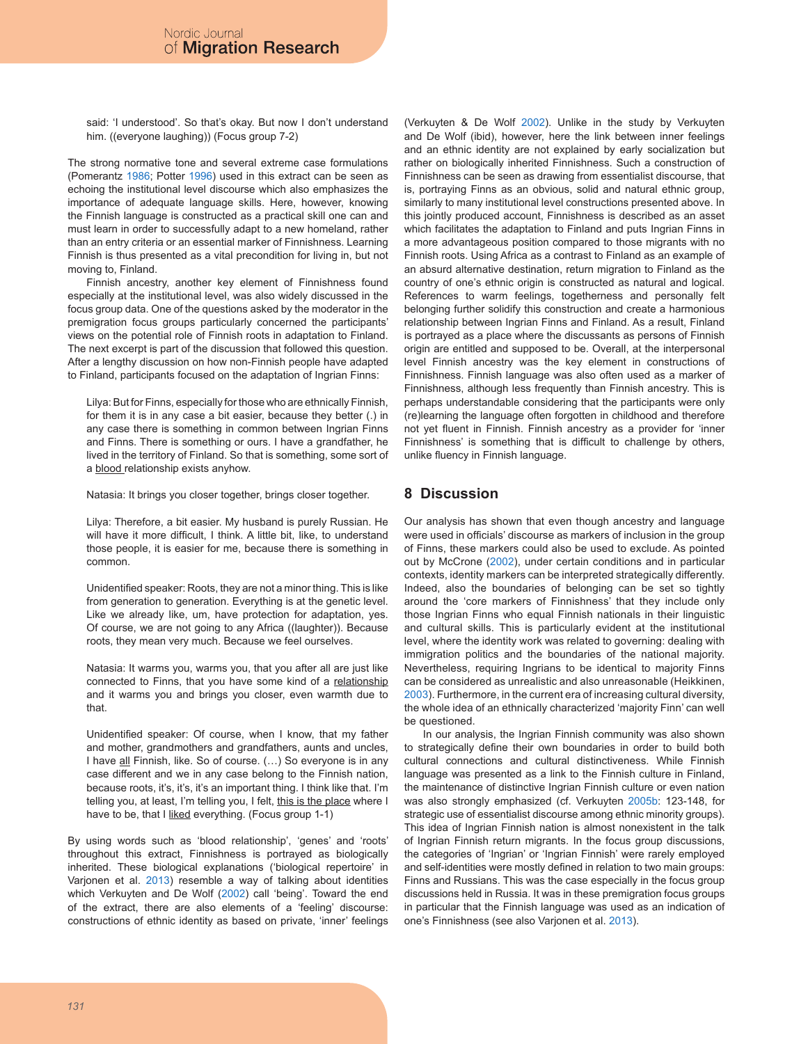said: 'I understood'. So that's okay. But now I don't understand him. ((everyone laughing)) (Focus group 7-2)

The strong normative tone and several extreme case formulations (Pomerantz 1986; Potter 1996) used in this extract can be seen as echoing the institutional level discourse which also emphasizes the importance of adequate language skills. Here, however, knowing the Finnish language is constructed as a practical skill one can and must learn in order to successfully adapt to a new homeland, rather than an entry criteria or an essential marker of Finnishness. Learning Finnish is thus presented as a vital precondition for living in, but not moving to, Finland.

Finnish ancestry, another key element of Finnishness found especially at the institutional level, was also widely discussed in the focus group data. One of the questions asked by the moderator in the premigration focus groups particularly concerned the participants' views on the potential role of Finnish roots in adaptation to Finland. The next excerpt is part of the discussion that followed this question. After a lengthy discussion on how non-Finnish people have adapted to Finland, participants focused on the adaptation of Ingrian Finns:

Lilya: But for Finns, especially for those who are ethnically Finnish, for them it is in any case a bit easier, because they better (.) in any case there is something in common between Ingrian Finns and Finns. There is something or ours. I have a grandfather, he lived in the territory of Finland. So that is something, some sort of a blood relationship exists anyhow.

Natasia: It brings you closer together, brings closer together.

Lilya: Therefore, a bit easier. My husband is purely Russian. He will have it more difficult, I think. A little bit, like, to understand those people, it is easier for me, because there is something in common.

Unidentified speaker: Roots, they are not a minor thing. This is like from generation to generation. Everything is at the genetic level. Like we already like, um, have protection for adaptation, yes. Of course, we are not going to any Africa ((laughter)). Because roots, they mean very much. Because we feel ourselves.

Natasia: It warms you, warms you, that you after all are just like connected to Finns, that you have some kind of a relationship and it warms you and brings you closer, even warmth due to that.

Unidentified speaker: Of course, when I know, that my father and mother, grandmothers and grandfathers, aunts and uncles, I have all Finnish, like. So of course. (...) So everyone is in any case different and we in any case belong to the Finnish nation, because roots, it's, it's, it's an important thing. I think like that. I'm telling you, at least, I'm telling you, I felt, this is the place where I have to be, that I liked everything. (Focus group 1-1)

By using words such as 'blood relationship', 'genes' and 'roots' throughout this extract, Finnishness is portrayed as biologically inherited. These biological explanations ('biological repertoire' in Varjonen et al. 2013) resemble a way of talking about identities which Verkuyten and De Wolf (2002) call 'being'. Toward the end of the extract, there are also elements of a 'feeling' discourse: constructions of ethnic identity as based on private, 'inner' feelings

(Verkuyten & De Wolf 2002). Unlike in the study by Verkuyten and De Wolf (ibid), however, here the link between inner feelings and an ethnic identity are not explained by early socialization but rather on biologically inherited Finnishness. Such a construction of Finnishness can be seen as drawing from essentialist discourse, that is, portraying Finns as an obvious, solid and natural ethnic group, similarly to many institutional level constructions presented above. In this jointly produced account, Finnishness is described as an asset which facilitates the adaptation to Finland and puts Ingrian Finns in a more advantageous position compared to those migrants with no Finnish roots. Using Africa as a contrast to Finland as an example of an absurd alternative destination, return migration to Finland as the country of one's ethnic origin is constructed as natural and logical. References to warm feelings, togetherness and personally felt belonging further solidify this construction and create a harmonious relationship between Ingrian Finns and Finland. As a result, Finland is portrayed as a place where the discussants as persons of Finnish origin are entitled and supposed to be. Overall, at the interpersonal level Finnish ancestry was the key element in constructions of Finnishness. Finnish language was also often used as a marker of Finnishness, although less frequently than Finnish ancestry. This is perhaps understandable considering that the participants were only (re)learning the language often forgotten in childhood and therefore not yet fluent in Finnish. Finnish ancestry as a provider for 'inner Finnishness' is something that is difficult to challenge by others, unlike fluency in Finnish language.

### **8 Discussion**

Our analysis has shown that even though ancestry and language were used in officials' discourse as markers of inclusion in the group of Finns, these markers could also be used to exclude. As pointed out by McCrone (2002), under certain conditions and in particular contexts, identity markers can be interpreted strategically differently. Indeed, also the boundaries of belonging can be set so tightly around the 'core markers of Finnishness' that they include only those Ingrian Finns who equal Finnish nationals in their linguistic and cultural skills. This is particularly evident at the institutional level, where the identity work was related to governing: dealing with immigration politics and the boundaries of the national majority. Nevertheless, requiring Ingrians to be identical to majority Finns can be considered as unrealistic and also unreasonable (Heikkinen, 2003). Furthermore, in the current era of increasing cultural diversity, the whole idea of an ethnically characterized 'majority Finn' can well be questioned.

In our analysis, the Ingrian Finnish community was also shown to strategically define their own boundaries in order to build both cultural connections and cultural distinctiveness. While Finnish language was presented as a link to the Finnish culture in Finland, the maintenance of distinctive Ingrian Finnish culture or even nation was also strongly emphasized (cf. Verkuyten 2005b: 123-148, for strategic use of essentialist discourse among ethnic minority groups). This idea of Ingrian Finnish nation is almost nonexistent in the talk of Ingrian Finnish return migrants. In the focus group discussions, the categories of 'Ingrian' or 'Ingrian Finnish' were rarely employed and self-identities were mostly defined in relation to two main groups: Finns and Russians. This was the case especially in the focus group discussions held in Russia. It was in these premigration focus groups in particular that the Finnish language was used as an indication of one's Finnishness (see also Varjonen et al. 2013).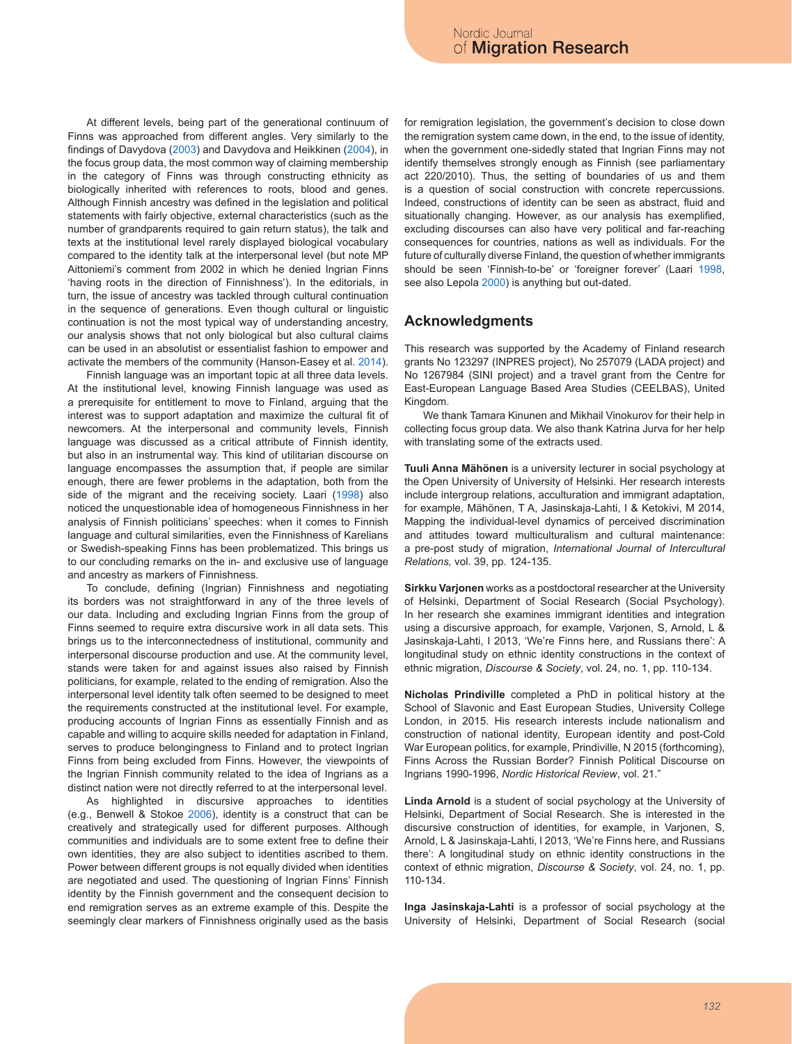At different levels, being part of the generational continuum of Finns was approached from different angles. Very similarly to the findings of Davydova (2003) and Davydova and Heikkinen (2004), in the focus group data, the most common way of claiming membership in the category of Finns was through constructing ethnicity as biologically inherited with references to roots, blood and genes. Although Finnish ancestry was defined in the legislation and political statements with fairly objective, external characteristics (such as the number of grandparents required to gain return status), the talk and texts at the institutional level rarely displayed biological vocabulary compared to the identity talk at the interpersonal level (but note MP Aittoniemi's comment from 2002 in which he denied Ingrian Finns 'having roots in the direction of Finnishness'). In the editorials, in turn, the issue of ancestry was tackled through cultural continuation in the sequence of generations. Even though cultural or linguistic continuation is not the most typical way of understanding ancestry, our analysis shows that not only biological but also cultural claims can be used in an absolutist or essentialist fashion to empower and activate the members of the community (Hanson-Easey et al. 2014).

Finnish language was an important topic at all three data levels. At the institutional level, knowing Finnish language was used as a prerequisite for entitlement to move to Finland, arguing that the interest was to support adaptation and maximize the cultural fit of newcomers. At the interpersonal and community levels, Finnish language was discussed as a critical attribute of Finnish identity, but also in an instrumental way. This kind of utilitarian discourse on language encompasses the assumption that, if people are similar enough, there are fewer problems in the adaptation, both from the side of the migrant and the receiving society. Laari (1998) also noticed the unquestionable idea of homogeneous Finnishness in her analysis of Finnish politicians' speeches: when it comes to Finnish language and cultural similarities, even the Finnishness of Karelians or Swedish-speaking Finns has been problematized. This brings us to our concluding remarks on the in- and exclusive use of language and ancestry as markers of Finnishness.

To conclude, defining (Ingrian) Finnishness and negotiating its borders was not straightforward in any of the three levels of our data. Including and excluding Ingrian Finns from the group of Finns seemed to require extra discursive work in all data sets. This brings us to the interconnectedness of institutional, community and interpersonal discourse production and use. At the community level, stands were taken for and against issues also raised by Finnish politicians, for example, related to the ending of remigration. Also the interpersonal level identity talk often seemed to be designed to meet the requirements constructed at the institutional level. For example, producing accounts of Ingrian Finns as essentially Finnish and as capable and willing to acquire skills needed for adaptation in Finland, serves to produce belongingness to Finland and to protect Ingrian Finns from being excluded from Finns. However, the viewpoints of the Ingrian Finnish community related to the idea of Ingrians as a distinct nation were not directly referred to at the interpersonal level.

As highlighted in discursive approaches to identities (e.g., Benwell & Stokoe 2006), identity is a construct that can be creatively and strategically used for different purposes. Although communities and individuals are to some extent free to define their own identities, they are also subject to identities ascribed to them. Power between different groups is not equally divided when identities are negotiated and used. The questioning of Ingrian Finns' Finnish identity by the Finnish government and the consequent decision to end remigration serves as an extreme example of this. Despite the seemingly clear markers of Finnishness originally used as the basis

for remigration legislation, the government's decision to close down the remigration system came down, in the end, to the issue of identity, when the government one-sidedly stated that Ingrian Finns may not identify themselves strongly enough as Finnish (see parliamentary act 220/2010). Thus, the setting of boundaries of us and them is a question of social construction with concrete repercussions. Indeed, constructions of identity can be seen as abstract, fluid and situationally changing. However, as our analysis has exemplified, excluding discourses can also have very political and far-reaching consequences for countries, nations as well as individuals. For the future of culturally diverse Finland, the question of whether immigrants should be seen 'Finnish-to-be' or 'foreigner forever' (Laari 1998, see also Lepola 2000) is anything but out-dated.

#### **Acknowledgments**

This research was supported by the Academy of Finland research grants No 123297 (INPRES project), No 257079 (LADA project) and No 1267984 (SINI project) and a travel grant from the Centre for East-European Language Based Area Studies (CEELBAS), United Kingdom.

We thank Tamara Kinunen and Mikhail Vinokurov for their help in collecting focus group data. We also thank Katrina Jurva for her help with translating some of the extracts used.

**Tuuli Anna Mähönen** is a university lecturer in social psychology at the Open University of University of Helsinki. Her research interests include intergroup relations, acculturation and immigrant adaptation, for example, Mähönen, T A, Jasinskaja-Lahti, I & Ketokivi, M 2014, Mapping the individual-level dynamics of perceived discrimination and attitudes toward multiculturalism and cultural maintenance: a pre-post study of migration, *International Journal of Intercultural Relations,* vol. 39, pp. 124-135.

**Sirkku Varjonen** works as a postdoctoral researcher at the University of Helsinki, Department of Social Research (Social Psychology). In her research she examines immigrant identities and integration using a discursive approach, for example, Varjonen, S, Arnold, L & Jasinskaja-Lahti, I 2013, 'We're Finns here, and Russians there': A longitudinal study on ethnic identity constructions in the context of ethnic migration, *Discourse & Society*, vol. 24, no. 1, pp. 110-134.

**Nicholas Prindiville** completed a PhD in political history at the School of Slavonic and East European Studies, University College London, in 2015. His research interests include nationalism and construction of national identity, European identity and post-Cold War European politics, for example, Prindiville, N 2015 (forthcoming), Finns Across the Russian Border? Finnish Political Discourse on Ingrians 1990-1996, *Nordic Historical Review*, vol. 21."

**Linda Arnold** is a student of social psychology at the University of Helsinki, Department of Social Research. She is interested in the discursive construction of identities, for example, in Varjonen, S, Arnold, L & Jasinskaja-Lahti, I 2013, 'We're Finns here, and Russians there': A longitudinal study on ethnic identity constructions in the context of ethnic migration, *Discourse & Society*, vol. 24, no. 1, pp. 110-134.

**Inga Jasinskaja-Lahti** is a professor of social psychology at the University of Helsinki, Department of Social Research (social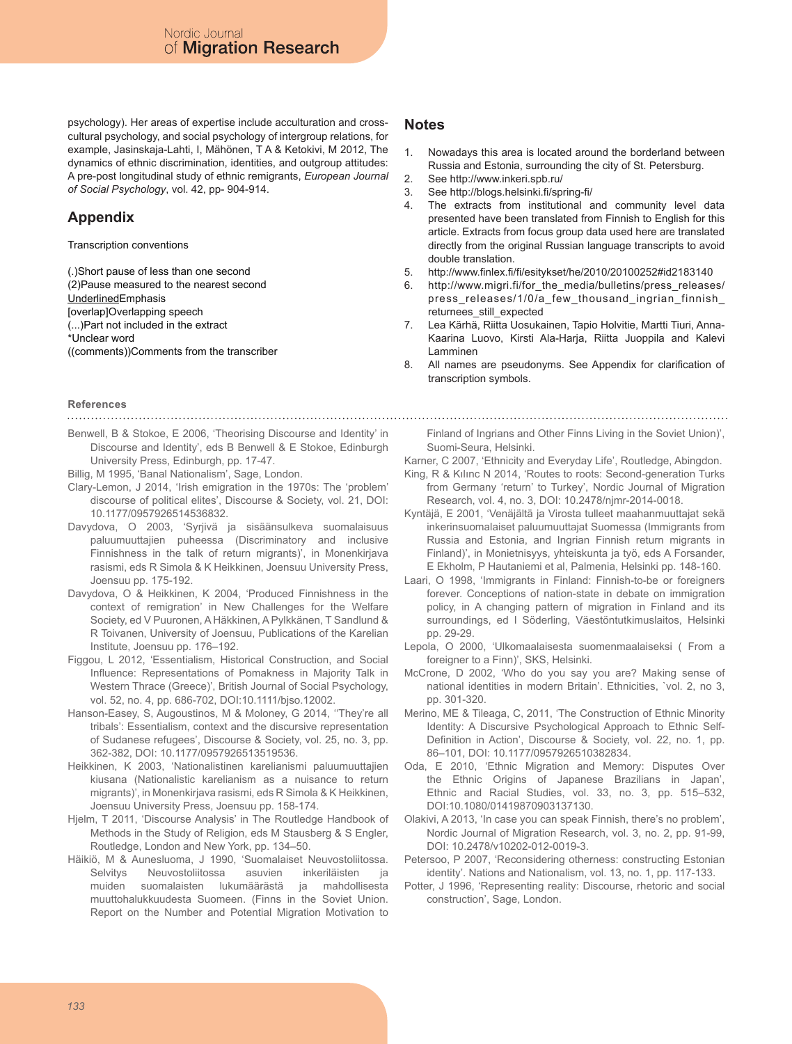psychology). Her areas of expertise include acculturation and crosscultural psychology, and social psychology of intergroup relations, for example, Jasinskaja-Lahti, I, Mähönen, T A & Ketokivi, M 2012, The dynamics of ethnic discrimination, identities, and outgroup attitudes: A pre-post longitudinal study of ethnic remigrants, *European Journal of Social Psychology*, vol. 42, pp- 904-914.

## **Appendix**

Transcription conventions

(.)Short pause of less than one second

(2)Pause measured to the nearest second

UnderlinedEmphasis

[overlap]Overlapping speech

(...)Part not included in the extract

\*Unclear word

((comments))Comments from the transcriber

#### **Notes**

- 1. Nowadays this area is located around the borderland between Russia and Estonia, surrounding the city of St. Petersburg.
- 2. See http://www.inkeri.spb.ru/
- 3. See http://blogs.helsinki.fi/spring-fi/<br>4 The extracts from institutional a
- The extracts from institutional and community level data presented have been translated from Finnish to English for this article. Extracts from focus group data used here are translated directly from the original Russian language transcripts to avoid double translation.
- 5. http://www.finlex.fi/fi/esitykset/he/2010/20100252#id2183140
- http://www.migri.fi/for\_the\_media/bulletins/press\_releases/ press\_releases/1/0/a\_few\_thousand\_ingrian\_finnish\_ returnees\_still\_expected
- 7. Lea Kärhä, Riitta Uosukainen, Tapio Holvitie, Martti Tiuri, Anna-Kaarina Luovo, Kirsti Ala-Harja, Riitta Juoppila and Kalevi Lamminen
- 8. All names are pseudonyms. See Appendix for clarification of transcription symbols.

#### **References**

- 
- Benwell, B & Stokoe, E 2006, 'Theorising Discourse and Identity' in Discourse and Identity', eds B Benwell & E Stokoe, Edinburgh University Press, Edinburgh, pp. 17-47.
- Billig, M 1995, 'Banal Nationalism', Sage, London.
- Clary-Lemon, J 2014, 'Irish emigration in the 1970s: The 'problem' discourse of political elites', Discourse & Society, vol. 21, DOI: 10.1177/0957926514536832.
- Davydova, O 2003, 'Syrjivä ja sisäänsulkeva suomalaisuus paluumuuttajien puheessa (Discriminatory and inclusive Finnishness in the talk of return migrants)', in Monenkirjava rasismi, eds R Simola & K Heikkinen, Joensuu University Press, Joensuu pp. 175-192.
- Davydova, O & Heikkinen, K 2004, 'Produced Finnishness in the context of remigration' in New Challenges for the Welfare Society, ed V Puuronen, A Häkkinen, A Pylkkänen, T Sandlund & R Toivanen, University of Joensuu, Publications of the Karelian Institute, Joensuu pp. 176–192.
- Figgou, L 2012, 'Essentialism, Historical Construction, and Social Influence: Representations of Pomakness in Majority Talk in Western Thrace (Greece)', British Journal of Social Psychology, vol. 52, no. 4, pp. 686-702, DOI:10.1111/bjso.12002.
- Hanson-Easey, S, Augoustinos, M & Moloney, G 2014, ''They're all tribals': Essentialism, context and the discursive representation of Sudanese refugees', Discourse & Society, vol. 25, no. 3, pp. 362-382, DOI: 10.1177/0957926513519536.
- Heikkinen, K 2003, 'Nationalistinen karelianismi paluumuuttajien kiusana (Nationalistic karelianism as a nuisance to return migrants)', in Monenkirjava rasismi, eds R Simola & K Heikkinen, Joensuu University Press, Joensuu pp. 158-174.
- Hjelm, T 2011, 'Discourse Analysis' in The Routledge Handbook of Methods in the Study of Religion, eds M Stausberg & S Engler, Routledge, London and New York, pp. 134–50.
- Häikiö, M & Aunesluoma, J 1990, 'Suomalaiset Neuvostoliitossa. Selvitys Neuvostoliitossa asuvien inkeriläisten ja muiden suomalaisten lukumäärästä ja mahdollisesta muuttohalukkuudesta Suomeen. (Finns in the Soviet Union. Report on the Number and Potential Migration Motivation to

Finland of Ingrians and Other Finns Living in the Soviet Union)', Suomi-Seura, Helsinki.

Karner, C 2007, 'Ethnicity and Everyday Life', Routledge, Abingdon.

- King, R & Kılınc N 2014, 'Routes to roots: Second-generation Turks from Germany 'return' to Turkey', Nordic Journal of Migration Research, vol. 4, no. 3, DOI: 10.2478/njmr-2014-0018.
- Kyntäjä, E 2001, 'Venäjältä ja Virosta tulleet maahanmuuttajat sekä inkerinsuomalaiset paluumuuttajat Suomessa (Immigrants from Russia and Estonia, and Ingrian Finnish return migrants in Finland)', in Monietnisyys, yhteiskunta ja työ, eds A Forsander, E Ekholm, P Hautaniemi et al, Palmenia, Helsinki pp. 148-160.
- Laari, O 1998, 'Immigrants in Finland: Finnish-to-be or foreigners forever. Conceptions of nation-state in debate on immigration policy, in A changing pattern of migration in Finland and its surroundings, ed I Söderling, Väestöntutkimuslaitos, Helsinki pp. 29-29.
- Lepola, O 2000, 'Ulkomaalaisesta suomenmaalaiseksi ( From a foreigner to a Finn)', SKS, Helsinki.
- McCrone, D 2002, 'Who do you say you are? Making sense of national identities in modern Britain'. Ethnicities, `vol. 2, no 3, pp. 301-320.
- Merino, ME & Tileaga, C, 2011, 'The Construction of Ethnic Minority Identity: A Discursive Psychological Approach to Ethnic Self-Definition in Action', Discourse & Society, vol. 22, no. 1, pp. 86–101, DOI: 10.1177/0957926510382834.
- Oda, E 2010, 'Ethnic Migration and Memory: Disputes Over the Ethnic Origins of Japanese Brazilians in Japan', Ethnic and Racial Studies, vol. 33, no. 3, pp. 515–532, DOI:10.1080/01419870903137130.
- Olakivi, A 2013, 'In case you can speak Finnish, there's no problem', Nordic Journal of Migration Research, vol. 3, no. 2, pp. 91-99, DOI: 10.2478/v10202-012-0019-3.
- Petersoo, P 2007, 'Reconsidering otherness: constructing Estonian identity'. Nations and Nationalism, vol. 13, no. 1, pp. 117-133.
- Potter, J 1996, 'Representing reality: Discourse, rhetoric and social construction', Sage, London.